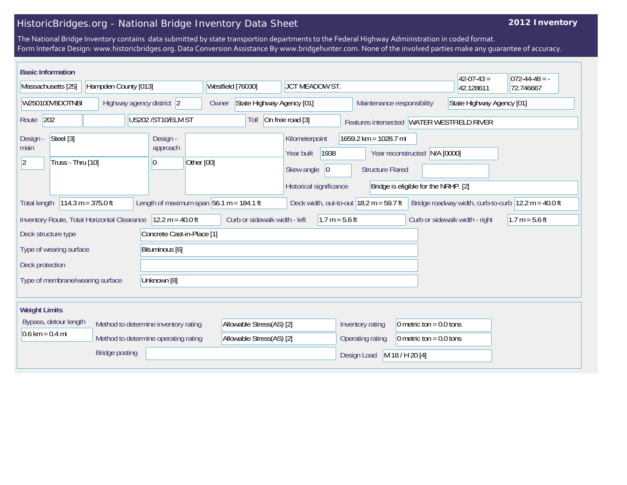## HistoricBridges.org - National Bridge Inventory Data Sheet

## **2012 Inventory**

The National Bridge Inventory contains data submitted by state transportion departments to the Federal Highway Administration in coded format. Form Interface Design: www.historicbridges.org. Data Conversion Assistance By www.bridgehunter.com. None of the involved parties make any guarantee of accuracy.

| <b>Basic Information</b>                                                  |                      |                            |                                            |                                                         |                                                |                                                                        |                                                    | $42-07-43=$      | $072 - 44 - 48 = -$                                 |
|---------------------------------------------------------------------------|----------------------|----------------------------|--------------------------------------------|---------------------------------------------------------|------------------------------------------------|------------------------------------------------------------------------|----------------------------------------------------|------------------|-----------------------------------------------------|
| Massachusetts [25]                                                        | Hampden County [013] |                            | Westfield [76030]                          |                                                         | JCT MEADOW ST.                                 |                                                                        |                                                    | 42.128611        | 72.746667                                           |
| W250100V8DOTNBI<br>Highway agency district 2                              |                      |                            | Owner                                      | State Highway Agency [01]<br>Maintenance responsibility |                                                |                                                                        | State Highway Agency [01]                          |                  |                                                     |
| US202 /ST10/ELM ST<br>202<br>Route                                        |                      |                            |                                            | On free road [3]<br>Toll                                |                                                | Features intersected WATER WESTFIELD RIVER                             |                                                    |                  |                                                     |
| Steel [3]<br>Design -<br>main<br>Truss - Thru [10]<br>$ 2\rangle$         |                      | Design -<br>approach<br> 0 | Other [00]                                 | Kilometerpoint<br>Year built<br>Skew angle              | 1938<br>$ 0\rangle$<br>Historical significance | 1659.2 km = 1028.7 mi<br>Year reconstructed<br><b>Structure Flared</b> | N/A [0000]<br>Bridge is eligible for the NRHP. [2] |                  |                                                     |
|                                                                           |                      |                            |                                            |                                                         |                                                |                                                                        |                                                    |                  |                                                     |
| <b>Total length</b>                                                       | 114.3 m = $375.0$ ft |                            | Length of maximum span $56.1$ m = 184.1 ft |                                                         |                                                | Deck width, out-to-out $18.2 \text{ m} = 59.7 \text{ ft}$              |                                                    |                  | Bridge roadway width, curb-to-curb 12.2 m = 40.0 ft |
| Inventory Route, Total Horizontal Clearance                               |                      | $12.2 m = 40.0 ft$         |                                            | Curb or sidewalk width - left<br>$1.7 m = 5.6 ft$       |                                                |                                                                        | Curb or sidewalk width - right                     | $1.7 m = 5.6 ft$ |                                                     |
| Deck structure type                                                       |                      | Concrete Cast-in-Place [1] |                                            |                                                         |                                                |                                                                        |                                                    |                  |                                                     |
| Bituminous [6]<br>Type of wearing surface                                 |                      |                            |                                            |                                                         |                                                |                                                                        |                                                    |                  |                                                     |
| Deck protection                                                           |                      |                            |                                            |                                                         |                                                |                                                                        |                                                    |                  |                                                     |
| Type of membrane/wearing surface<br>Unknown [8]                           |                      |                            |                                            |                                                         |                                                |                                                                        |                                                    |                  |                                                     |
| <b>Weight Limits</b>                                                      |                      |                            |                                            |                                                         |                                                |                                                                        |                                                    |                  |                                                     |
| Bypass, detour length<br>Method to determine inventory rating             |                      |                            | Allowable Stress(AS) [2]                   |                                                         | Inventory rating                               | 0 metric ton = $0.0$ tons                                              |                                                    |                  |                                                     |
| $0.6 \text{ km} = 0.4 \text{ mi}$<br>Method to determine operating rating |                      |                            | Allowable Stress(AS) [2]                   |                                                         | 0 metric ton = $0.0$ tons<br>Operating rating  |                                                                        |                                                    |                  |                                                     |
| <b>Bridge posting</b>                                                     |                      |                            |                                            |                                                         |                                                | Design Load                                                            | M 18 / H 20 [4]                                    |                  |                                                     |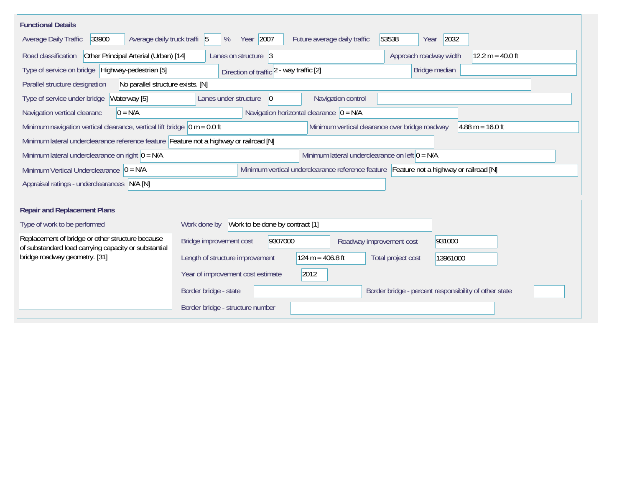| <b>Functional Details</b>                                                                                |                                                                                         |
|----------------------------------------------------------------------------------------------------------|-----------------------------------------------------------------------------------------|
| Average daily truck traffi 5<br>33900<br>Average Daily Traffic                                           | Year 2007<br>53538<br>2032<br>Future average daily traffic<br>%<br>Year                 |
| Other Principal Arterial (Urban) [14]<br>Road classification                                             | Approach roadway width<br>$12.2 m = 40.0 ft$<br>Lanes on structure 3                    |
| Type of service on bridge Highway-pedestrian [5]                                                         | Bridge median<br>Direction of traffic 2 - way traffic [2]                               |
| Parallel structure designation<br>No parallel structure exists. [N]                                      |                                                                                         |
| Waterway [5]<br>Type of service under bridge                                                             | Navigation control<br>Lanes under structure<br>$\overline{0}$                           |
| $0 = N/A$<br>Navigation vertical clearanc                                                                | Navigation horizontal clearance $ 0 = N/A $                                             |
| Minimum navigation vertical clearance, vertical lift bridge $\vert$ 0 m = 0.0 ft                         | Minimum vertical clearance over bridge roadway<br>$4.88 \text{ m} = 16.0 \text{ ft}$    |
| Minimum lateral underclearance reference feature Feature not a highway or railroad [N]                   |                                                                                         |
| Minimum lateral underclearance on right $0 = N/A$                                                        | Minimum lateral underclearance on left $0 = N/A$                                        |
| Minimum Vertical Underclearance $ 0 = N/A$                                                               | Minimum vertical underclearance reference feature Feature not a highway or railroad [N] |
| Appraisal ratings - underclearances N/A [N]                                                              |                                                                                         |
|                                                                                                          |                                                                                         |
| <b>Repair and Replacement Plans</b>                                                                      |                                                                                         |
| Type of work to be performed                                                                             | Work to be done by contract [1]<br>Work done by                                         |
| Replacement of bridge or other structure because<br>of substandard load carrying capacity or substantial | 9307000<br>931000<br>Bridge improvement cost<br>Roadway improvement cost                |
| bridge roadway geometry. [31]                                                                            | $124 m = 406.8 ft$<br>Length of structure improvement<br>Total project cost<br>13961000 |
|                                                                                                          | 2012<br>Year of improvement cost estimate                                               |
|                                                                                                          | Border bridge - state<br>Border bridge - percent responsibility of other state          |
|                                                                                                          | Border bridge - structure number                                                        |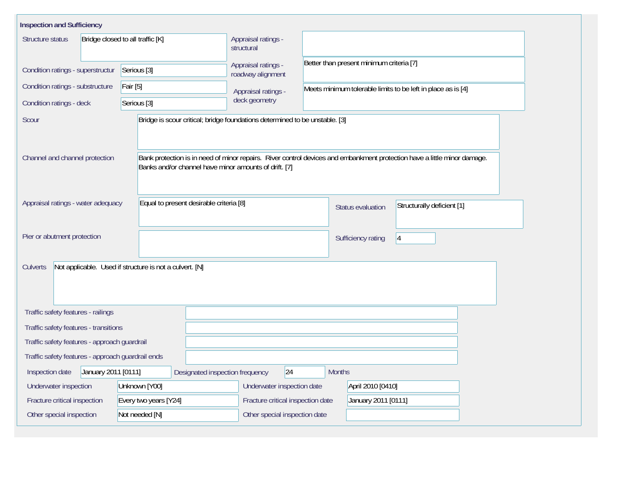| <b>Inspection and Sufficiency</b>                                   |                                  |                                                                                                                                                                                   |                                          |                                                              |                    |                            |  |
|---------------------------------------------------------------------|----------------------------------|-----------------------------------------------------------------------------------------------------------------------------------------------------------------------------------|------------------------------------------|--------------------------------------------------------------|--------------------|----------------------------|--|
| Structure status                                                    | Bridge closed to all traffic [K] |                                                                                                                                                                                   | Appraisal ratings -<br>structural        |                                                              |                    |                            |  |
| Condition ratings - superstructur                                   | Serious [3]                      |                                                                                                                                                                                   | Appraisal ratings -<br>roadway alignment | Better than present minimum criteria [7]                     |                    |                            |  |
| Condition ratings - substructure<br><b>Fair</b> [5]                 |                                  |                                                                                                                                                                                   | Appraisal ratings -                      | Meets minimum tolerable limits to be left in place as is [4] |                    |                            |  |
| Condition ratings - deck                                            | Serious [3]                      |                                                                                                                                                                                   | deck geometry                            |                                                              |                    |                            |  |
| Scour                                                               |                                  | Bridge is scour critical; bridge foundations determined to be unstable. [3]                                                                                                       |                                          |                                                              |                    |                            |  |
| Channel and channel protection                                      |                                  | Bank protection is in need of minor repairs. River control devices and embankment protection have a little minor damage.<br>Banks and/or channel have minor amounts of drift. [7] |                                          |                                                              |                    |                            |  |
| Appraisal ratings - water adequacy                                  |                                  | Equal to present desirable criteria [8]                                                                                                                                           |                                          |                                                              | Status evaluation  | Structurally deficient [1] |  |
| Pier or abutment protection                                         |                                  |                                                                                                                                                                                   |                                          |                                                              | Sufficiency rating | 4                          |  |
| Not applicable. Used if structure is not a culvert. [N]<br>Culverts |                                  |                                                                                                                                                                                   |                                          |                                                              |                    |                            |  |
| Traffic safety features - railings                                  |                                  |                                                                                                                                                                                   |                                          |                                                              |                    |                            |  |
| Traffic safety features - transitions                               |                                  |                                                                                                                                                                                   |                                          |                                                              |                    |                            |  |
| Traffic safety features - approach guardrail                        |                                  |                                                                                                                                                                                   |                                          |                                                              |                    |                            |  |
| Traffic safety features - approach guardrail ends                   |                                  |                                                                                                                                                                                   |                                          |                                                              |                    |                            |  |
| January 2011 [0111]<br>Inspection date                              |                                  | Designated inspection frequency                                                                                                                                                   | 24                                       | <b>Months</b>                                                |                    |                            |  |
| Underwater inspection                                               |                                  | Underwater inspection date                                                                                                                                                        | April 2010 [0410]                        |                                                              |                    |                            |  |
| Fracture critical inspection<br>Every two years [Y24]               |                                  |                                                                                                                                                                                   | Fracture critical inspection date        | January 2011 [0111]                                          |                    |                            |  |
| Other special inspection<br>Not needed [N]                          |                                  |                                                                                                                                                                                   | Other special inspection date            |                                                              |                    |                            |  |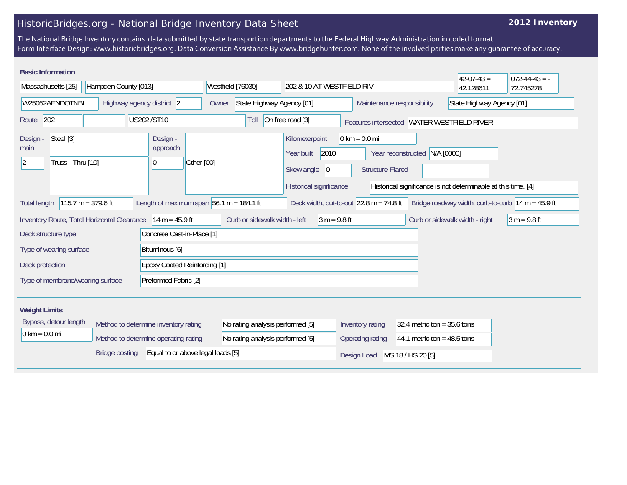## HistoricBridges.org - National Bridge Inventory Data Sheet

## **2012 Inventory**

The National Bridge Inventory contains data submitted by state transportion departments to the Federal Highway Administration in coded format. Form Interface Design: www.historicbridges.org. Data Conversion Assistance By www.bridgehunter.com. None of the involved parties make any guarantee of accuracy.

| <b>Basic Information</b><br>Massachusetts [25]                                                                           | Hampden County [013]      |                                                                                                                                                                     | Westfield [76030]                          | 202 & 10 AT WESTFIELD RIV                                            |                                            |                   | $42-07-43=$<br>42.128611                                                                                             | $ 072-44-43 = -$<br>72.745278 |
|--------------------------------------------------------------------------------------------------------------------------|---------------------------|---------------------------------------------------------------------------------------------------------------------------------------------------------------------|--------------------------------------------|----------------------------------------------------------------------|--------------------------------------------|-------------------|----------------------------------------------------------------------------------------------------------------------|-------------------------------|
| W25052AENDOTNBI                                                                                                          | Highway agency district 2 |                                                                                                                                                                     | State Highway Agency [01]<br>Owner         |                                                                      | Maintenance responsibility                 |                   | State Highway Agency [01]                                                                                            |                               |
| 202<br>Route                                                                                                             |                           | US202/ST10                                                                                                                                                          | Toll                                       | On free road [3]                                                     | Features intersected WATER WESTFIELD RIVER |                   |                                                                                                                      |                               |
| Steel [3]<br>Design -<br>Design<br>approach<br>main<br>Truss - Thru [10]<br>Other [00]<br>$ 2\rangle$<br>$\vert 0 \vert$ |                           | $0 \text{ km} = 0.0 \text{ mi}$<br>Kilometerpoint<br>2010<br>N/A [0000]<br>Year built<br>Year reconstructed<br>Skew angle<br>$ 0\rangle$<br><b>Structure Flared</b> |                                            |                                                                      |                                            |                   |                                                                                                                      |                               |
| $115.7 m = 379.6 ft$<br><b>Total length</b>                                                                              |                           |                                                                                                                                                                     | Length of maximum span $56.1$ m = 184.1 ft | Historical significance<br>Deck width, out-to-out $22.8$ m = 74.8 ft |                                            |                   | Historical significance is not determinable at this time. [4]<br>Bridge roadway width, curb-to-curb $14 m = 45.9 ft$ |                               |
| Inventory Route, Total Horizontal Clearance                                                                              |                           | $14 m = 45.9 ft$                                                                                                                                                    | Curb or sidewalk width - left              | $3 m = 9.8 ft$                                                       |                                            |                   | Curb or sidewalk width - right                                                                                       | $3 m = 9.8 ft$                |
| Deck structure type                                                                                                      |                           | Concrete Cast-in-Place [1]                                                                                                                                          |                                            |                                                                      |                                            |                   |                                                                                                                      |                               |
| Type of wearing surface                                                                                                  |                           | Bituminous [6]                                                                                                                                                      |                                            |                                                                      |                                            |                   |                                                                                                                      |                               |
| Deck protection                                                                                                          |                           | <b>Epoxy Coated Reinforcing [1]</b>                                                                                                                                 |                                            |                                                                      |                                            |                   |                                                                                                                      |                               |
| Preformed Fabric [2]<br>Type of membrane/wearing surface                                                                 |                           |                                                                                                                                                                     |                                            |                                                                      |                                            |                   |                                                                                                                      |                               |
| <b>Weight Limits</b>                                                                                                     |                           |                                                                                                                                                                     |                                            |                                                                      |                                            |                   |                                                                                                                      |                               |
| Bypass, detour length<br>Method to determine inventory rating                                                            |                           | No rating analysis performed [5]                                                                                                                                    |                                            | Inventory rating                                                     | 32.4 metric ton = $35.6$ tons              |                   |                                                                                                                      |                               |
| $0 \text{ km} = 0.0 \text{ mi}$<br>Method to determine operating rating                                                  |                           | No rating analysis performed [5]                                                                                                                                    |                                            | Operating rating                                                     | 44.1 metric ton = $48.5$ tons              |                   |                                                                                                                      |                               |
| Equal to or above legal loads [5]<br><b>Bridge posting</b>                                                               |                           |                                                                                                                                                                     |                                            |                                                                      | Design Load                                | MS 18 / HS 20 [5] |                                                                                                                      |                               |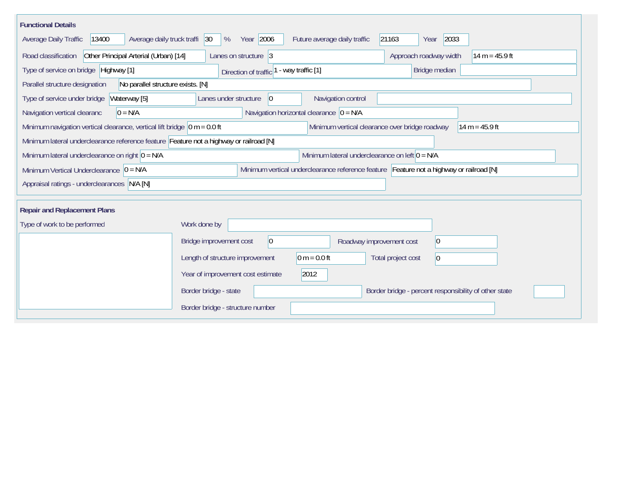| <b>Functional Details</b>                                                              |                                           |                                                                                         |                                                       |  |  |
|----------------------------------------------------------------------------------------|-------------------------------------------|-----------------------------------------------------------------------------------------|-------------------------------------------------------|--|--|
| 13400<br>Average daily truck traffi<br>Average Daily Traffic                           | Year 2006<br> 30 <br>%                    | Future average daily traffic<br>21163                                                   | 2033<br>Year                                          |  |  |
| Other Principal Arterial (Urban) [14]<br>Road classification                           | Lanes on structure 3                      |                                                                                         | Approach roadway width<br>$14 m = 45.9 ft$            |  |  |
| Type of service on bridge Highway [1]                                                  | Direction of traffic <sup>1</sup>         | - way traffic [1]                                                                       | Bridge median                                         |  |  |
| No parallel structure exists. [N]<br>Parallel structure designation                    |                                           |                                                                                         |                                                       |  |  |
| Type of service under bridge<br>Waterway [5]                                           | 0 <br>Lanes under structure               | Navigation control                                                                      |                                                       |  |  |
| $0 = N/A$<br>Navigation vertical clearanc                                              |                                           | Navigation horizontal clearance $ 0 = N/A $                                             |                                                       |  |  |
| Minimum navigation vertical clearance, vertical lift bridge $\vert$ 0 m = 0.0 ft       |                                           | Minimum vertical clearance over bridge roadway                                          | 14 m = $45.9$ ft                                      |  |  |
| Minimum lateral underclearance reference feature Feature not a highway or railroad [N] |                                           |                                                                                         |                                                       |  |  |
| Minimum lateral underclearance on right $ 0 = N/A$                                     |                                           | Minimum lateral underclearance on left $0 = N/A$                                        |                                                       |  |  |
| Minimum Vertical Underclearance $ 0 = N/A$                                             |                                           | Minimum vertical underclearance reference feature Feature not a highway or railroad [N] |                                                       |  |  |
| Appraisal ratings - underclearances N/A [N]                                            |                                           |                                                                                         |                                                       |  |  |
|                                                                                        |                                           |                                                                                         |                                                       |  |  |
| <b>Repair and Replacement Plans</b>                                                    |                                           |                                                                                         |                                                       |  |  |
| Type of work to be performed                                                           | Work done by                              |                                                                                         |                                                       |  |  |
|                                                                                        | $\overline{0}$<br>Bridge improvement cost | Roadway improvement cost                                                                | $ 0\rangle$                                           |  |  |
|                                                                                        | Length of structure improvement           | $0 m = 0.0 ft$                                                                          | Total project cost<br>$ 0\rangle$                     |  |  |
|                                                                                        | Year of improvement cost estimate         | 2012                                                                                    |                                                       |  |  |
|                                                                                        | Border bridge - state                     |                                                                                         | Border bridge - percent responsibility of other state |  |  |
|                                                                                        | Border bridge - structure number          |                                                                                         |                                                       |  |  |